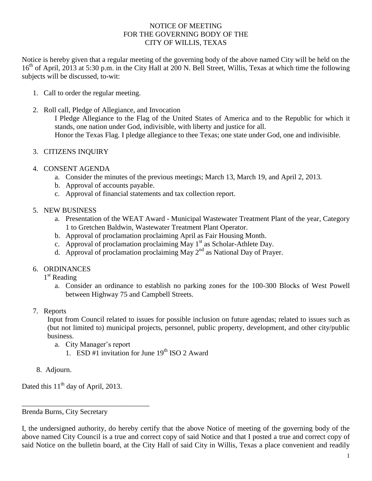### NOTICE OF MEETING FOR THE GOVERNING BODY OF THE CITY OF WILLIS, TEXAS

Notice is hereby given that a regular meeting of the governing body of the above named City will be held on the 16<sup>th</sup> of April, 2013 at 5:30 p.m. in the City Hall at 200 N. Bell Street, Willis, Texas at which time the following subjects will be discussed, to-wit:

- 1. Call to order the regular meeting.
- 2. Roll call, Pledge of Allegiance, and Invocation
	- I Pledge Allegiance to the Flag of the United States of America and to the Republic for which it stands, one nation under God, indivisible, with liberty and justice for all. Honor the Texas Flag. I pledge allegiance to thee Texas; one state under God, one and indivisible.
- 3. CITIZENS INQUIRY
- 4. CONSENT AGENDA
	- a. Consider the minutes of the previous meetings; March 13, March 19, and April 2, 2013.
	- b. Approval of accounts payable.
	- c. Approval of financial statements and tax collection report.
- 5. NEW BUSINESS
	- a. Presentation of the WEAT Award Municipal Wastewater Treatment Plant of the year, Category 1 to Gretchen Baldwin, Wastewater Treatment Plant Operator.
	- b. Approval of proclamation proclaiming April as Fair Housing Month.
	- c. Approval of proclamation proclaiming May  $1<sup>st</sup>$  as Scholar-Athlete Day.
	- d. Approval of proclamation proclaiming May  $2^{nd}$  as National Day of Prayer.
- 6. ORDINANCES
	- 1<sup>st</sup> Reading
		- a. Consider an ordinance to establish no parking zones for the 100-300 Blocks of West Powell between Highway 75 and Campbell Streets.
- 7. Reports

Input from Council related to issues for possible inclusion on future agendas; related to issues such as (but not limited to) municipal projects, personnel, public property, development, and other city/public business.

- a. City Manager's report
	- 1. ESD #1 invitation for June  $19<sup>th</sup>$  ISO 2 Award
- 8. Adjourn.

Dated this  $11<sup>th</sup>$  day of April, 2013.

\_\_\_\_\_\_\_\_\_\_\_\_\_\_\_\_\_\_\_\_\_\_\_\_\_\_\_\_\_\_\_\_\_\_\_

Brenda Burns, City Secretary

I, the undersigned authority, do hereby certify that the above Notice of meeting of the governing body of the above named City Council is a true and correct copy of said Notice and that I posted a true and correct copy of said Notice on the bulletin board, at the City Hall of said City in Willis, Texas a place convenient and readily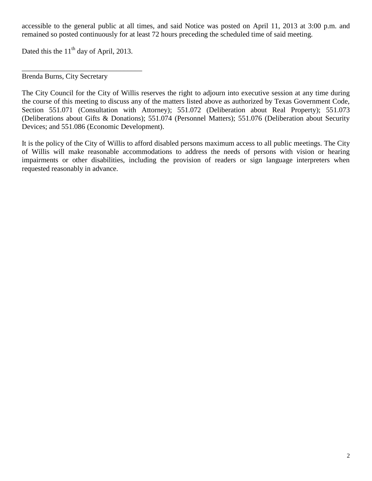accessible to the general public at all times, and said Notice was posted on April 11, 2013 at 3:00 p.m. and remained so posted continuously for at least 72 hours preceding the scheduled time of said meeting.

Dated this the  $11<sup>th</sup>$  day of April, 2013.

\_\_\_\_\_\_\_\_\_\_\_\_\_\_\_\_\_\_\_\_\_\_\_\_\_\_\_\_\_\_\_\_\_

Brenda Burns, City Secretary

The City Council for the City of Willis reserves the right to adjourn into executive session at any time during the course of this meeting to discuss any of the matters listed above as authorized by Texas Government Code, Section 551.071 (Consultation with Attorney); 551.072 (Deliberation about Real Property); 551.073 (Deliberations about Gifts & Donations); 551.074 (Personnel Matters); 551.076 (Deliberation about Security Devices; and 551.086 (Economic Development).

It is the policy of the City of Willis to afford disabled persons maximum access to all public meetings. The City of Willis will make reasonable accommodations to address the needs of persons with vision or hearing impairments or other disabilities, including the provision of readers or sign language interpreters when requested reasonably in advance.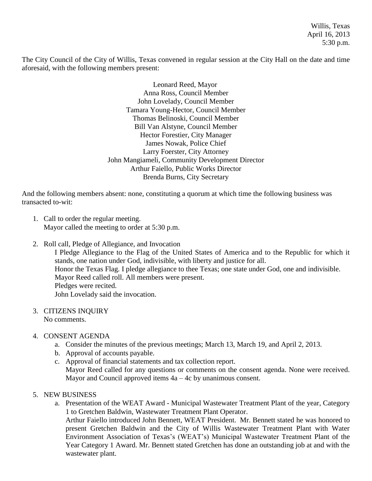Willis, Texas April 16, 2013 5:30 p.m.

The City Council of the City of Willis, Texas convened in regular session at the City Hall on the date and time aforesaid, with the following members present:

> Leonard Reed, Mayor Anna Ross, Council Member John Lovelady, Council Member Tamara Young-Hector, Council Member Thomas Belinoski, Council Member Bill Van Alstyne, Council Member Hector Forestier, City Manager James Nowak, Police Chief Larry Foerster, City Attorney John Mangiameli, Community Development Director Arthur Faiello, Public Works Director Brenda Burns, City Secretary

And the following members absent: none, constituting a quorum at which time the following business was transacted to-wit:

- 1. Call to order the regular meeting. Mayor called the meeting to order at 5:30 p.m.
- 2. Roll call, Pledge of Allegiance, and Invocation

I Pledge Allegiance to the Flag of the United States of America and to the Republic for which it stands, one nation under God, indivisible, with liberty and justice for all. Honor the Texas Flag. I pledge allegiance to thee Texas; one state under God, one and indivisible. Mayor Reed called roll. All members were present. Pledges were recited. John Lovelady said the invocation.

3. CITIZENS INQUIRY No comments.

## 4. CONSENT AGENDA

- a. Consider the minutes of the previous meetings; March 13, March 19, and April 2, 2013.
- b. Approval of accounts payable.
- c. Approval of financial statements and tax collection report.

Mayor Reed called for any questions or comments on the consent agenda. None were received. Mayor and Council approved items  $4a - 4c$  by unanimous consent.

## 5. NEW BUSINESS

a. Presentation of the WEAT Award - Municipal Wastewater Treatment Plant of the year, Category 1 to Gretchen Baldwin, Wastewater Treatment Plant Operator. Arthur Faiello introduced John Bennett, WEAT President. Mr. Bennett stated he was honored to present Gretchen Baldwin and the City of Willis Wastewater Treatment Plant with Water Environment Association of Texas's (WEAT's) Municipal Wastewater Treatment Plant of the Year Category 1 Award. Mr. Bennett stated Gretchen has done an outstanding job at and with the wastewater plant.